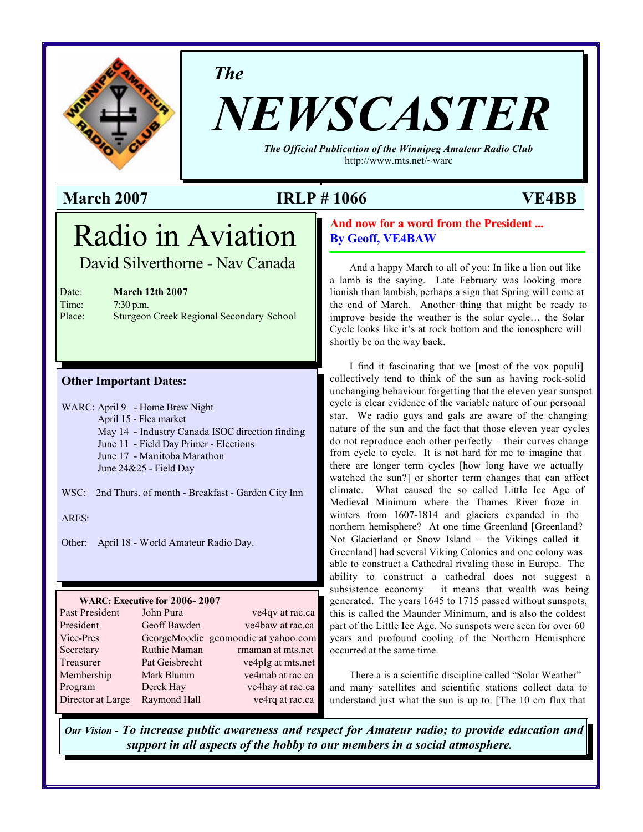

*The*

# *NEWSCASTER*

*The Official Publication of the Winnipeg Amateur Radio Club* <http://www.mts.net/~warc>

#### **March 2007 IRLP # 1066 VE4BB**

## Radio in Aviation

David Silverthorne - Nav Canada

| Date:     | <b>March 12th 2007</b> |
|-----------|------------------------|
| $T_{max}$ | $7.20 \div 22$         |

Time: 7:30 p.m. Place: Sturgeon Creek Regional Secondary School

#### **Other Important Dates:**

WARC: April 9 - Home Brew Night April 15 - Flea market May 14 - Industry Canada ISOC direction finding June 11 - Field Day Primer - Elections June 17 - Manitoba Marathon June 24&25 - Field Day

WSC: 2nd Thurs. of month - Breakfast - Garden City Inn

ARES:

Other: April 18 - World Amateur Radio Day.

#### **WARC: Executive for 2006- 2007**

| Past President    | John Pura      | ve4qv at rac.ca                     |
|-------------------|----------------|-------------------------------------|
| President         | Geoff Bawden   | ve4baw at rac.ca                    |
| Vice-Pres         |                | GeorgeMoodie geomoodie at yahoo.com |
| Secretary         | Ruthie Maman   | rmaman at mts.net                   |
| Treasurer         | Pat Geisbrecht | ve4plg at mts.net                   |
| Membership        | Mark Blumm     | ve4mab at rac.ca                    |
| Program           | Derek Hay      | ve4hay at rac.ca                    |
| Director at Large | Raymond Hall   | ve4rq at rac.ca                     |

#### **And now for a word from the President ... By Geoff, VE4BAW**

And a happy March to all of you: In like a lion out like a lamb is the saying. Late February was looking more lionish than lambish, perhaps a sign that Spring will come at the end of March. Another thing that might be ready to improve beside the weather is the solar cycle… the Solar Cycle looks like it's at rock bottom and the ionosphere will shortly be on the way back.

I find it fascinating that we [most of the vox populi] collectively tend to think of the sun as having rock-solid unchanging behaviour forgetting that the eleven year sunspot cycle is clear evidence of the variable nature of our personal star. We radio guys and gals are aware of the changing nature of the sun and the fact that those eleven year cycles do not reproduce each other perfectly – their curves change from cycle to cycle. It is not hard for me to imagine that there are longer term cycles [how long have we actually watched the sun?] or shorter term changes that can affect climate. What caused the so called Little Ice Age of Medieval Minimum where the Thames River froze in winters from 1607-1814 and glaciers expanded in the northern hemisphere? At one time Greenland [Greenland? Not Glacierland or Snow Island – the Vikings called it Greenland] had several Viking Colonies and one colony was able to construct a Cathedral rivaling those in Europe. The ability to construct a cathedral does not suggest a subsistence economy – it means that wealth was being generated. The years 1645 to 1715 passed without sunspots, this is called the Maunder Minimum, and is also the coldest part of the Little Ice Age. No sunspots were seen for over 60 years and profound cooling of the Northern Hemisphere occurred at the same time.

There a is a scientific discipline called "Solar Weather" and many satellites and scientific stations collect data to understand just what the sun is up to. [The 10 cm flux that

*Our Vision - To increase public awareness and respect for Amateur radio; to provide education and support in all aspects of the hobby to our members in a social atmosphere.*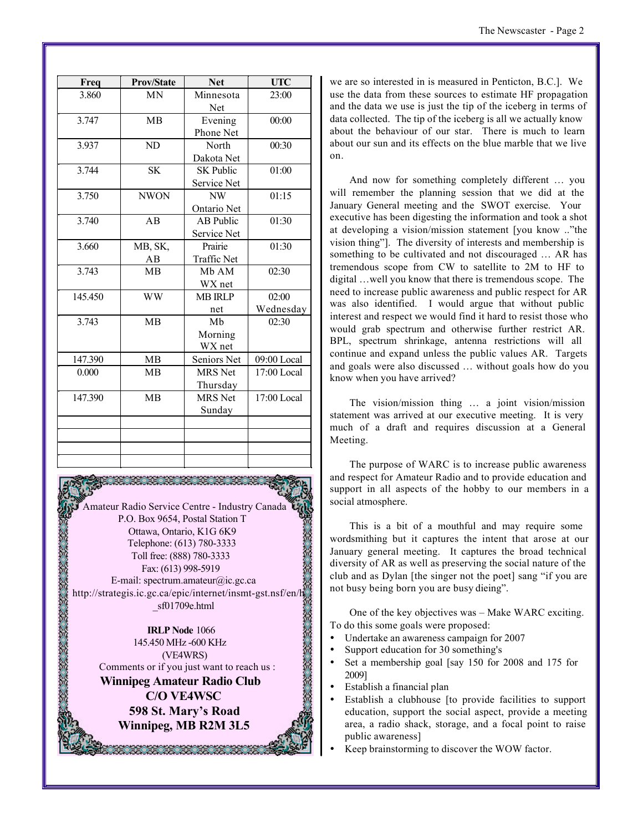| The Newscaster - Page 2 |  |
|-------------------------|--|
|-------------------------|--|

| Freq    | <b>Prov/State</b> | <b>Net</b>       | <b>UTC</b>    |
|---------|-------------------|------------------|---------------|
| 3.860   | <b>MN</b>         | Minnesota        | 23:00         |
|         |                   | Net              |               |
| 3.747   | <b>MB</b>         | 00:00<br>Evening |               |
|         |                   | Phone Net        |               |
| 3.937   | ND                | North            | 00:30         |
|         |                   | Dakota Net       |               |
| 3.744   | <b>SK</b>         | <b>SK Public</b> | 01:00         |
|         |                   | Service Net      |               |
| 3.750   | <b>NWON</b>       | NW               | 01:15         |
|         |                   | Ontario Net      |               |
| 3.740   | AB                | <b>AB</b> Public | 01:30         |
|         |                   | Service Net      |               |
| 3.660   | MB, SK,           | Prairie          | 01:30         |
|         | AB                | Traffic Net      |               |
| 3.743   | MB                | Mb AM            | 02:30         |
|         |                   | WX net           |               |
| 145.450 | <b>WW</b>         | <b>MB IRLP</b>   | 02:00         |
|         |                   | net              | Wednesday     |
| 3.743   | <b>MB</b>         | Mb               | 02:30         |
|         |                   | Morning          |               |
|         |                   | WX net           |               |
| 147.390 | MB                | Seniors Net      | 09:00 Local   |
| 0.000   | <b>MB</b>         | <b>MRS</b> Net   | 17:00 Local   |
|         |                   | Thursday         |               |
| 147.390 | <b>MB</b>         | <b>MRS</b> Net   | $17:00$ Local |
|         |                   | Sunday           |               |
|         |                   |                  |               |
|         |                   |                  |               |
|         |                   |                  |               |
|         |                   |                  |               |

Amateur Radio Service Centre - Industry Canada P.O. Box 9654, Postal Station T Ottawa, Ontario, K1G 6K9 Telephone: (613) 780-3333 Toll free: (888) 780-3333 Fax: (613) 998-5919 E-mail: spectrum.amateur@ic.gc.ca <http://strategis.ic.gc.ca/epic/internet/insmt-gst.nsf/en/h> \_sf01709e.html

**IRLP Node** 1066 145.450 MHz -600 KHz (VE4WRS) Comments or if you just want to reach us : **Winnipeg Amateur Radio Club C/O VE4WSC 598 St. Mary's Road Winnipeg, MB R2M 3L5**

we are so interested in is measured in Penticton, B.C.]. We use the data from these sources to estimate HF propagation and the data we use is just the tip of the iceberg in terms of data collected. The tip of the iceberg is all we actually know about the behaviour of our star. There is much to learn about our sun and its effects on the blue marble that we live on.

And now for something completely different … you will remember the planning session that we did at the January General meeting and the SWOT exercise. Your executive has been digesting the information and took a shot at developing a vision/mission statement [you know .."the vision thing"]. The diversity of interests and membership is something to be cultivated and not discouraged … AR has tremendous scope from CW to satellite to 2M to HF to digital …well you know that there is tremendous scope. The need to increase public awareness and public respect for AR was also identified. I would argue that without public interest and respect we would find it hard to resist those who would grab spectrum and otherwise further restrict AR. BPL, spectrum shrinkage, antenna restrictions will all continue and expand unless the public values AR. Targets and goals were also discussed … without goals how do you know when you have arrived?

The vision/mission thing … a joint vision/mission statement was arrived at our executive meeting. It is very much of a draft and requires discussion at a General Meeting.

The purpose of WARC is to increase public awareness and respect for Amateur Radio and to provide education and support in all aspects of the hobby to our members in a social atmosphere.

This is a bit of a mouthful and may require some wordsmithing but it captures the intent that arose at our January general meeting. It captures the broad technical diversity of AR as well as preserving the social nature of the club and as Dylan [the singer not the poet] sang "if you are not busy being born you are busy dieing".

One of the key objectives was – Make WARC exciting. To do this some goals were proposed:

- ü Undertake an awareness campaign for 2007
- Support education for 30 something's
- Set a membership goal [say 150 for 2008 and 175 for 2009]
- ü Establish a financial plan
- ü Establish a clubhouse [to provide facilities to support education, support the social aspect, provide a meeting area, a radio shack, storage, and a focal point to raise public awareness]
- Keep brainstorming to discover the WOW factor.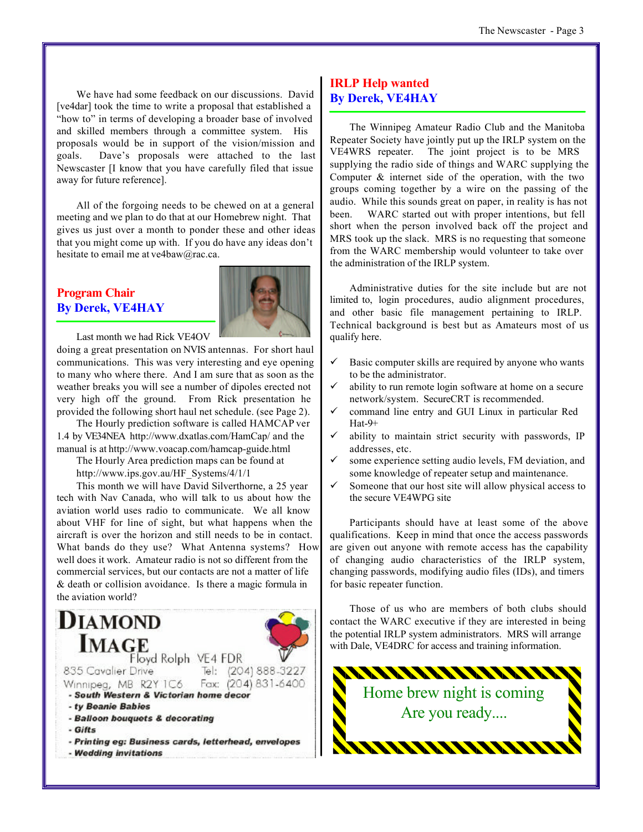We have had some feedback on our discussions. David [ve4dar] took the time to write a proposal that established a "how to" in terms of developing a broader base of involved and skilled members through a committee system. His proposals would be in support of the vision/mission and goals. Dave's proposals were attached to the last Newscaster [I know that you have carefully filed that issue away for future reference].

All of the forgoing needs to be chewed on at a general meeting and we plan to do that at our Homebrew night. That gives us just over a month to ponder these and other ideas that you might come up with. If you do have any ideas don't hesitate to email me at ve4baw@rac.ca.

#### **Program Chair By Derek, VE4HAY**



Last month we had Rick VE4OV

doing a great presentation on NVIS antennas. For short haul communications. This was very interesting and eye opening to many who where there. And I am sure that as soon as the weather breaks you will see a number of dipoles erected not very high off the ground. From Rick presentation he provided the following short haul net schedule. (see Page 2).

The Hourly prediction software is called HAMCAP ver 1.4 by VE34NEA <http://www.dxatlas.com/HamCap/> and the manual is at<http://www.voacap.com/hamcap-guide.html>

The Hourly Area prediction maps can be found at [http://www.ips.gov.au/HF\\_Systems/4/1/1](http://www.ips.gov.au/HF_Systems/4/1/1)

This month we will have David Silverthorne, a 25 year tech with Nav Canada, who will talk to us about how the aviation world uses radio to communicate. We all know about VHF for line of sight, but what happens when the aircraft is over the horizon and still needs to be in contact. What bands do they use? What Antenna systems? How well does it work. Amateur radio is not so different from the commercial services, but our contacts are not a matter of life & death or collision avoidance. Is there a magic formula in the aviation world?



#### **IRLP Help wanted By Derek, VE4HAY**

The Winnipeg Amateur Radio Club and the Manitoba Repeater Society have jointly put up the IRLP system on the VE4WRS repeater. The joint project is to be MRS supplying the radio side of things and WARC supplying the Computer & internet side of the operation, with the two groups coming together by a wire on the passing of the audio. While this sounds great on paper, in reality is has not been. WARC started out with proper intentions, but fell short when the person involved back off the project and MRS took up the slack. MRS is no requesting that someone from the WARC membership would volunteer to take over the administration of the IRLP system.

Administrative duties for the site include but are not limited to, login procedures, audio alignment procedures, and other basic file management pertaining to IRLP. Technical background is best but as Amateurs most of us qualify here.

- $\checkmark$  Basic computer skills are required by anyone who wants to be the administrator.
- ability to run remote login software at home on a secure network/system. SecureCRT is recommended.
- ¸ command line entry and GUI Linux in particular Red Hat-9+
- $\checkmark$  ability to maintain strict security with passwords, IP addresses, etc.
- some experience setting audio levels, FM deviation, and some knowledge of repeater setup and maintenance.
- $\checkmark$  Someone that our host site will allow physical access to the secure VE4WPG site

Participants should have at least some of the above qualifications. Keep in mind that once the access passwords are given out anyone with remote access has the capability of changing audio characteristics of the IRLP system, changing passwords, modifying audio files (IDs), and timers for basic repeater function.

Those of us who are members of both clubs should contact the WARC executive if they are interested in being the potential IRLP system administrators. MRS will arrange with Dale, VE4DRC for access and training information.

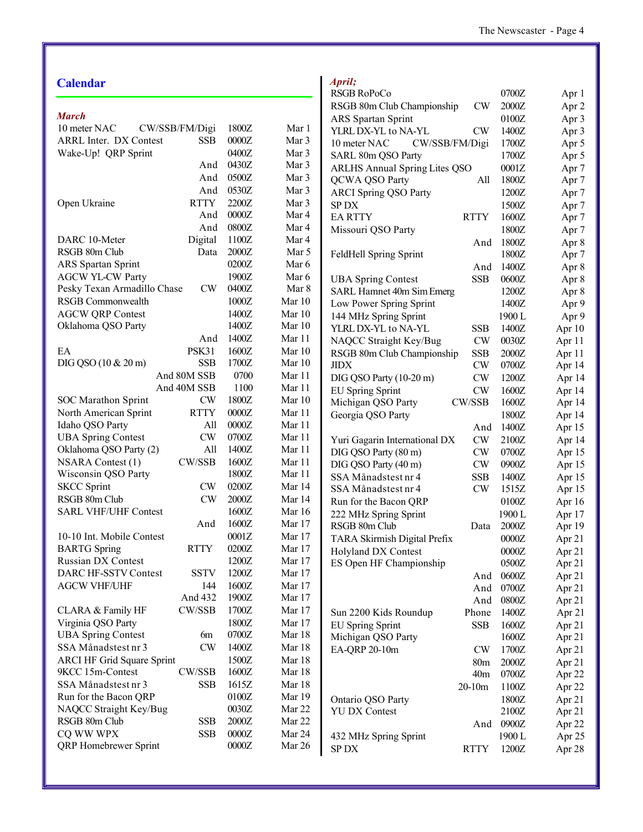#### **Calendar**

| <b>March</b>                      |                |       |          |
|-----------------------------------|----------------|-------|----------|
| 10 meter NAC                      | CW/SSB/FM/Digi | 1800Z | Mar 1    |
| <b>ARRL Inter. DX Contest</b>     | <b>SSB</b>     | 0000Z | Mar 3    |
| Wake-Up! QRP Sprint               |                | 0400Z | Mar 3    |
|                                   | And            | 0430Z | Mar 3    |
|                                   | And            | 0500Z | Mar 3    |
|                                   | And            | 0530Z | Mar 3    |
| Open Ukraine                      | <b>RTTY</b>    | 2200Z | Mar 3    |
|                                   | And            | 0000Z | Mar 4    |
|                                   | And            | 0800Z | Mar 4    |
| DARC 10-Meter                     | Digital        | 1100Z | Mar 4    |
| RSGB 80m Club                     | Data           | 2000Z | Mar 5    |
| <b>ARS</b> Spartan Sprint         |                | 0200Z | Mar 6    |
| <b>AGCW YL-CW Party</b>           |                | 1900Z | Mar 6    |
| Pesky Texan Armadillo Chase       | CW             | 0400Z | Mar 8    |
| <b>RSGB</b> Commonwealth          |                | 1000Z | Mar $10$ |
| <b>AGCW QRP Contest</b>           |                | 1400Z | Mar $10$ |
| Oklahoma QSO Party                |                | 1400Z | Mar $10$ |
|                                   | And            | 1400Z | Mar 11   |
| EA                                | PSK31          | 1600Z | Mar $10$ |
| DIG QSO (10 & 20 m)               | <b>SSB</b>     | 1700Z | Mar $10$ |
|                                   | And 80M SSB    | 0700  | Mar 11   |
|                                   | And 40M SSB    | 1100  | Mar 11   |
| <b>SOC Marathon Sprint</b>        | CW             | 1800Z | Mar 10   |
| North American Sprint             | <b>RTTY</b>    | 0000Z | Mar 11   |
| Idaho QSO Party                   | All            | 0000Z | Mar 11   |
| <b>UBA Spring Contest</b>         | CW             | 0700Z | Mar 11   |
| Oklahoma QSO Party (2)            | All            | 1400Z | Mar 11   |
| <b>NSARA Contest (1)</b>          | CW/SSB         | 1600Z | Mar 11   |
| Wisconsin QSO Party               |                | 1800Z | Mar 11   |
| <b>SKCC Sprint</b>                | CW             | 0200Z | Mar 14   |
| RSGB 80m Club                     | CW             | 2000Z | Mar 14   |
| <b>SARL VHF/UHF Contest</b>       |                | 1600Z | Mar 16   |
|                                   | And            | 1600Z | Mar 17   |
| 10-10 Int. Mobile Contest         |                | 0001Z | Mar 17   |
| <b>BARTG</b> Spring               | <b>RTTY</b>    | 0200Z | Mar 17   |
| <b>Russian DX Contest</b>         |                | 1200Z | Mar 17   |
| DARC HF-SSTV Contest              | <b>SSTV</b>    | 1200Z | Mar 17   |
| <b>AGCW VHF/UHF</b>               | 144            | 1600Z | Mar 17   |
|                                   | And 432        | 1900Z | Mar 17   |
| CLARA & Family HF                 | CW/SSB         | 1700Z | Mar 17   |
| Virginia QSO Party                |                | 1800Z | Mar 17   |
| <b>UBA Spring Contest</b>         | 6m             | 0700Z | Mar 18   |
| SSA Månadstest nr 3               | CW             | 1400Z | Mar 18   |
| <b>ARCI HF Grid Square Sprint</b> |                | 1500Z | Mar 18   |
| 9KCC 15m-Contest                  | CW/SSB         | 1600Z | Mar 18   |
| SSA Månadstest nr 3               | SSB            | 1615Z | Mar 18   |
|                                   |                |       |          |
| Run for the Bacon QRP             |                | 0100Z | Mar 19   |
| NAQCC Straight Key/Bug            |                | 0030Z | Mar 22   |
| RSGB 80m Club                     | <b>SSB</b>     | 2000Z | Mar 22   |
| CQ WW WPX                         | SSB            | 0000Z | Mar 24   |
| QRP Homebrewer Sprint             |                | 0000Z | Mar 26   |

| RSGB RoPoCo                          |                 | 0700Z  | Apr 1            |
|--------------------------------------|-----------------|--------|------------------|
| RSGB 80m Club Championship           | CW              | 2000Z  | Apr 2            |
| <b>ARS</b> Spartan Sprint            |                 | 0100Z  | Apr 3            |
| YLRL DX-YL to NA-YL                  | CW              | 1400Z  | Apr 3            |
| CW/SSB/FM/Digi<br>10 meter NAC       |                 | 1700Z  | Apr 5            |
| SARL 80m QSO Party                   |                 | 1700Z  | Apr 5            |
| <b>ARLHS Annual Spring Lites QSO</b> |                 | 0001Z  | Apr <sub>7</sub> |
| <b>QCWA QSO Party</b>                | All             | 1800Z  | Apr <sub>7</sub> |
| <b>ARCI Spring QSO Party</b>         |                 | 1200Z  | Apr <sub>7</sub> |
| <b>SPDX</b>                          |                 | 1500Z  | Apr <sub>7</sub> |
| <b>EARTTY</b>                        | <b>RTTY</b>     | 1600Z  | Apr <sub>7</sub> |
| Missouri QSO Party                   |                 | 1800Z  | Apr <sub>7</sub> |
|                                      | And             | 1800Z  | Apr 8            |
| FeldHell Spring Sprint               |                 | 1800Z  | Apr <sub>7</sub> |
|                                      | And             | 1400Z  | Apr 8            |
| <b>UBA Spring Contest</b>            | <b>SSB</b>      | 0600Z  | Apr 8            |
| SARL Hamnet 40m Sim Emerg            |                 | 1200Z  | Apr 8            |
| Low Power Spring Sprint              |                 | 1400Z  | Apr 9            |
| 144 MHz Spring Sprint                |                 | 1900 L | Apr 9            |
| YLRL DX-YL to NA-YL                  | SSB             | 1400Z  | Apr 10           |
| NAQCC Straight Key/Bug               | <b>CW</b>       | 0030Z  | Apr 11           |
| RSGB 80m Club Championship           | <b>SSB</b>      | 2000Z  | Apr 11           |
| <b>JIDX</b>                          | CW              | 0700Z  | Apr 14           |
|                                      | CW              | 1200Z  |                  |
| DIG QSO Party (10-20 m)              | CW              |        | Apr 14           |
| <b>EU Spring Sprint</b>              | CW/SSB          | 1600Z  | Apr 14           |
| Michigan QSO Party                   |                 | 1600Z  | Apr 14           |
| Georgia QSO Party                    |                 | 1800Z  | Apr 14           |
|                                      | And             | 1400Z  | Apr 15           |
| Yuri Gagarin International DX        | CW              | 2100Z  | Apr 14           |
| DIG QSO Party (80 m)                 | CW              | 0700Z  | Apr 15           |
| DIG QSO Party (40 m)                 | CW              | 0900Z  | Apr 15           |
| SSA Månadstest nr 4                  | SSB             | 1400Z  | Apr 15           |
| SSA Månadstest nr 4                  | CW              | 1515Z  | Apr 15           |
| Run for the Bacon QRP                |                 | 0100Z  | Apr 16           |
| 222 MHz Spring Sprint                |                 | 1900 L | Apr 17           |
| RSGB 80m Club                        | Data            | 2000Z  | Apr 19           |
| TARA Skirmish Digital Prefix         |                 | 0000Z  | Apr 21           |
| <b>Holyland DX Contest</b>           |                 | 0000Z  | Apr 21           |
| ES Open HF Championship              |                 | 0500Z  | Apr 21           |
|                                      | And             | 0600Z  | Apr 21           |
|                                      | And             | 0700Z  | Apr 21           |
|                                      | And             | 0800Z  | Apr 21           |
| Sun 2200 Kids Roundup                | Phone           | 1400Z  | Apr 21           |
| <b>EU Spring Sprint</b>              | <b>SSB</b>      | 1600Z  | Apr 21           |
| Michigan QSO Party                   |                 | 1600Z  | Apr 21           |
| EA-QRP 20-10m                        | <b>CW</b>       | 1700Z  | Apr 21           |
|                                      | 80 <sub>m</sub> | 2000Z  | Apr 21           |
|                                      | 40 <sub>m</sub> | 0700Z  | Apr 22           |
|                                      | $20-10m$        | 1100Z  | Apr 22           |
| Ontario QSO Party                    |                 | 1800Z  | Apr 21           |
| <b>YU DX Contest</b>                 |                 | 2100Z  | Apr 21           |
|                                      | And             | 0900Z  | Apr 22           |
| 432 MHz Spring Sprint                |                 | 1900L  | Apr 25           |
| SP DX                                | <b>RTTY</b>     | 1200Z  | Apr 28           |
|                                      |                 |        |                  |

*April;*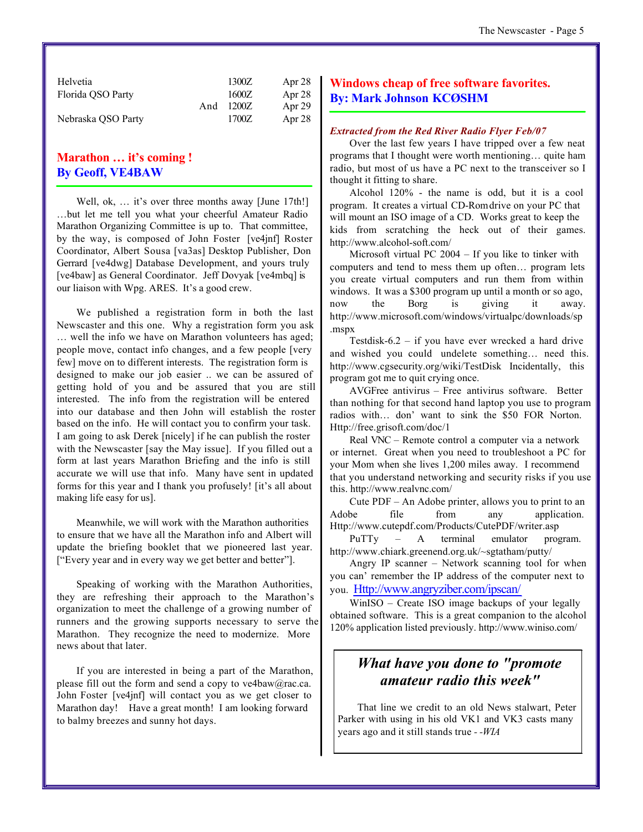| Helvetia           |     | 1300Z | Apr 28 |
|--------------------|-----|-------|--------|
| Florida QSO Party  |     | 1600Z | Apr 28 |
|                    | And | 1200Z | Apr 29 |
| Nebraska QSO Party |     | 1700Z | Apr 28 |

#### **Marathon … it's coming ! By Geoff, VE4BAW**

Well, ok, ... it's over three months away [June 17th!] …but let me tell you what your cheerful Amateur Radio Marathon Organizing Committee is up to. That committee, by the way, is composed of John Foster [ve4jnf] Roster Coordinator, Albert Sousa [va3as] Desktop Publisher, Don Gerrard [ve4dwg] Database Development, and yours truly [ve4baw] as General Coordinator. Jeff Dovyak [ve4mbq] is our liaison with Wpg. ARES. It's a good crew.

We published a registration form in both the last Newscaster and this one. Why a registration form you ask … well the info we have on Marathon volunteers has aged; people move, contact info changes, and a few people [very few] move on to different interests. The registration form is designed to make our job easier .. we can be assured of getting hold of you and be assured that you are still interested. The info from the registration will be entered into our database and then John will establish the roster based on the info. He will contact you to confirm your task. I am going to ask Derek [nicely] if he can publish the roster with the Newscaster [say the May issue]. If you filled out a form at last years Marathon Briefing and the info is still accurate we will use that info. Many have sent in updated forms for this year and I thank you profusely! [it's all about making life easy for us].

Meanwhile, we will work with the Marathon authorities to ensure that we have all the Marathon info and Albert will update the briefing booklet that we pioneered last year. ["Every year and in every way we get better and better"].

Speaking of working with the Marathon Authorities, they are refreshing their approach to the Marathon's organization to meet the challenge of a growing number of runners and the growing supports necessary to serve the Marathon. They recognize the need to modernize. More news about that later.

If you are interested in being a part of the Marathon, please fill out the form and send a copy to ve4baw@rac.ca. John Foster [ve4jnf] will contact you as we get closer to Marathon day! Have a great month! I am looking forward to balmy breezes and sunny hot days.

#### **Windows cheap of free software favorites. By: Mark Johnson KCØSHM**

#### *Extracted from the Red River Radio Flyer Feb/07*

Over the last few years I have tripped over a few neat programs that I thought were worth mentioning… quite ham radio, but most of us have a PC next to the transceiver so I thought it fitting to share.

Alcohol 120% - the name is odd, but it is a cool program. It creates a virtual CD-Rom drive on your PC that will mount an ISO image of a CD. Works great to keep the kids from scratching the heck out of their games. <http://www.alcohol-soft.com/>

Microsoft virtual PC 2004 – If you like to tinker with computers and tend to mess them up often… program lets you create virtual computers and run them from within windows. It was a \$300 program up until a month or so ago, now the Borg is giving it away. <http://www.microsoft.com/windows/virtualpc/downloads/sp> .mspx

Testdisk-6.2 – if you have ever wrecked a hard drive and wished you could undelete something… need this. <http://www.cgsecurity.org/wiki/TestDisk>Incidentally, this program got me to quit crying once.

AVGFree antivirus – Free antivirus software. Better than nothing for that second hand laptop you use to program radios with… don' want to sink the \$50 FOR Norton. <Http://free.grisoft.com/doc/1>

Real VNC – Remote control a computer via a network or internet. Great when you need to troubleshoot a PC for your Mom when she lives 1,200 miles away. I recommend that you understand networking and security risks if you use this. <http://www.realvnc.com/>

Cute PDF – An Adobe printer, allows you to print to an Adobe file from any application. <Http://www.cutepdf.com/Products/CutePDF/writer.asp>

PuTTy – A terminal emulator program. <http://www.chiark.greenend.org.uk/~sgtatham/putty/>

Angry IP scanner – Network scanning tool for when you can' remember the IP address of the computer next to you. <Http://www.angryziber.com/ipscan/>

WinISO – Create ISO image backups of your legally obtained software. This is a great companion to the alcohol 120% application listed previously.<http://www.winiso.com/>

#### *What have you done to "promote amateur radio this week"*

That line we credit to an old News stalwart, Peter Parker with using in his old VK1 and VK3 casts many years ago and it still stands true *- -WIA*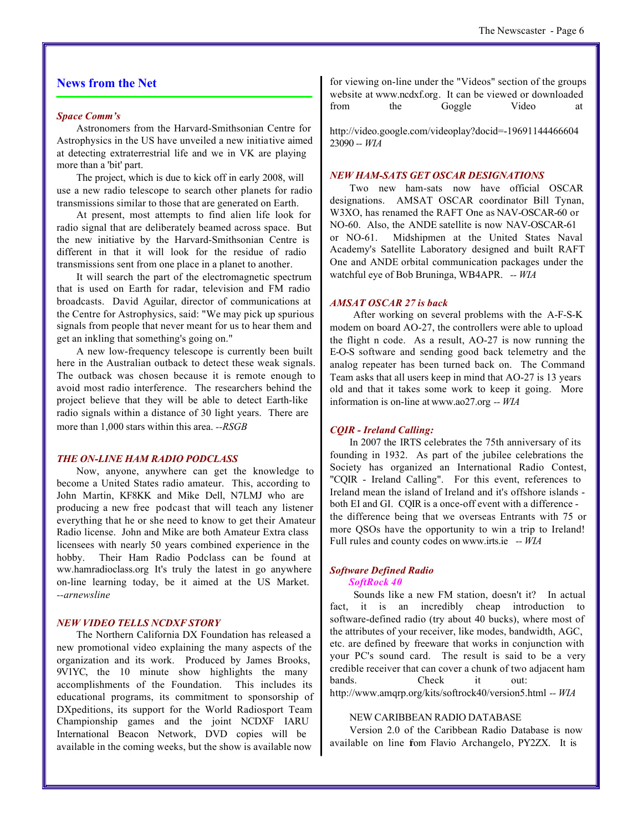#### **News from the Net**

#### *Space Comm's*

Astronomers from the Harvard-Smithsonian Centre for Astrophysics in the US have unveiled a new initiative aimed at detecting extraterrestrial life and we in VK are playing more than a 'bit' part.

The project, which is due to kick off in early 2008, will use a new radio telescope to search other planets for radio transmissions similar to those that are generated on Earth.

At present, most attempts to find alien life look for radio signal that are deliberately beamed across space. But the new initiative by the Harvard-Smithsonian Centre is different in that it will look for the residue of radio transmissions sent from one place in a planet to another.

It will search the part of the electromagnetic spectrum that is used on Earth for radar, television and FM radio broadcasts. David Aguilar, director of communications at the Centre for Astrophysics, said: "We may pick up spurious signals from people that never meant for us to hear them and get an inkling that something's going on."

A new low-frequency telescope is currently been built here in the Australian outback to detect these weak signals. The outback was chosen because it is remote enough to avoid most radio interference. The researchers behind the project believe that they will be able to detect Earth-like radio signals within a distance of 30 light years. There are more than 1,000 stars within this area. *--RSGB*

#### *THE ON-LINE HAM RADIO PODCLASS*

Now, anyone, anywhere can get the knowledge to become a United States radio amateur. This, according to John Martin, KF8KK and Mike Dell, N7LMJ who are producing a new free podcast that will teach any listener everything that he or she need to know to get their Amateur Radio license. John and Mike are both Amateur Extra class licensees with nearly 50 years combined experience in the hobby. Their Ham Radio Podclass can be found at ww.hamradioclass.org It's truly the latest in go anywhere on-line learning today, be it aimed at the US Market. *--arnewsline*

#### *NEW VIDEO TELLS NCDXF STORY*

The Northern California DX Foundation has released a new promotional video explaining the many aspects of the organization and its work. Produced by James Brooks, 9V1YC, the 10 minute show highlights the many accomplishments of the Foundation. This includes its educational programs, its commitment to sponsorship of DXpeditions, its support for the World Radiosport Team Championship games and the joint NCDXF IARU International Beacon Network, DVD copies will be available in the coming weeks, but the show is available now

for viewing on-line under the "Videos" section of the groups website at www.ncdxf.org. It can be viewed or downloaded from the Goggle Video at

<http://video.google.com/videoplay?docid=-19691144466604> 23090 *-- WIA*

#### *NEW HAM-SATS GET OSCAR DESIGNATIONS*

Two new ham-sats now have official OSCAR designations. AMSAT OSCAR coordinator Bill Tynan, W3XO, has renamed the RAFT One as NAV-OSCAR-60 or NO-60. Also, the ANDE satellite is now NAV-OSCAR-61 or NO-61. Midshipmen at the United States Naval Academy's Satellite Laboratory designed and built RAFT One and ANDE orbital communication packages under the watchful eye of Bob Bruninga, WB4APR. *-- WIA*

#### *AMSAT OSCAR 27 is back*

 After working on several problems with the A-F-S-K modem on board AO-27, the controllers were able to upload the flight n code. As a result, AO-27 is now running the E-O-S software and sending good back telemetry and the analog repeater has been turned back on. The Command Team asks that all users keep in mind that AO-27 is 13 years old and that it takes some work to keep it going. More information is on-line at www.ao27.org *-- WIA*

#### *CQIR - Ireland Calling:*

In 2007 the IRTS celebrates the 75th anniversary of its founding in 1932. As part of the jubilee celebrations the Society has organized an International Radio Contest, "CQIR - Ireland Calling". For this event, references to Ireland mean the island of Ireland and it's offshore islands both EI and GI. CQIR is a once-off event with a difference the difference being that we overseas Entrants with 75 or more QSOs have the opportunity to win a trip to Ireland! Full rules and county codes on www.irts.ie *-- WIA*

#### *Software Defined Radio SoftRock 40*

 Sounds like a new FM station, doesn't it? In actual fact, it is an incredibly cheap introduction to software-defined radio (try about 40 bucks), where most of the attributes of your receiver, like modes, bandwidth, AGC, etc. are defined by freeware that works in conjunction with your PC's sound card. The result is said to be a very credible receiver that can cover a chunk of two adjacent ham bands. Check it out: <http://www.amqrp.org/kits/softrock40/version5.html> *-- WIA*

#### NEW CARIBBEAN RADIO DATABASE

Version 2.0 of the Caribbean Radio Database is now available on line from Flavio Archangelo, PY2ZX. It is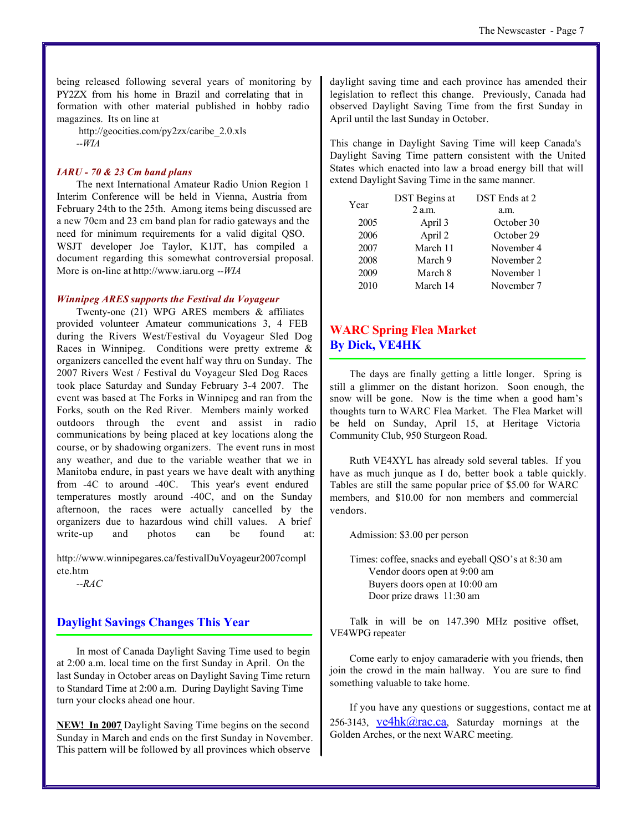being released following several years of monitoring by PY2ZX from his home in Brazil and correlating that in formation with other material published in hobby radio magazines. Its on line at

[http://geocities.com/py2zx/caribe\\_2.0.xls](http://geocities.com/py2zx/caribe_2.0.xls) *--WIA* 

#### *IARU - 70 & 23 Cm band plans*

The next International Amateur Radio Union Region 1 Interim Conference will be held in Vienna, Austria from February 24th to the 25th. Among items being discussed are a new 70cm and 23 cm band plan for radio gateways and the need for minimum requirements for a valid digital QSO. WSJT developer Joe Taylor, K1JT, has compiled a document regarding this somewhat controversial proposal. More is on-line at<http://www.iaru.org> *--WIA*

#### *Winnipeg ARES supports the Festival du Voyageur*

Twenty-one (21) WPG ARES members & affiliates provided volunteer Amateur communications 3, 4 FEB during the Rivers West/Festival du Voyageur Sled Dog Races in Winnipeg. Conditions were pretty extreme & organizers cancelled the event half way thru on Sunday. The 2007 Rivers West / Festival du Voyageur Sled Dog Races took place Saturday and Sunday February 3-4 2007. The event was based at The Forks in Winnipeg and ran from the Forks, south on the Red River. Members mainly worked outdoors through the event and assist in radio communications by being placed at key locations along the course, or by shadowing organizers. The event runs in most any weather, and due to the variable weather that we in Manitoba endure, in past years we have dealt with anything from -4C to around -40C. This year's event endured temperatures mostly around -40C, and on the Sunday afternoon, the races were actually cancelled by the organizers due to hazardous wind chill values. A brief write-up and photos can be found at:

<http://www.winnipegares.ca/festivalDuVoyageur2007compl> ete.htm

*--RAC*

#### **Daylight Savings Changes This Year**

In most of Canada Daylight Saving Time used to begin at 2:00 a.m. local time on the first Sunday in April. On the last Sunday in October areas on Daylight Saving Time return to Standard Time at 2:00 a.m. During Daylight Saving Time turn your clocks ahead one hour.

**NEW! In 2007** Daylight Saving Time begins on the second Sunday in March and ends on the first Sunday in November. This pattern will be followed by all provinces which observe

daylight saving time and each province has amended their legislation to reflect this change. Previously, Canada had observed Daylight Saving Time from the first Sunday in April until the last Sunday in October.

This change in Daylight Saving Time will keep Canada's Daylight Saving Time pattern consistent with the United States which enacted into law a broad energy bill that will extend Daylight Saving Time in the same manner.

| Year | <b>DST</b> Begins at | DST Ends at 2 |
|------|----------------------|---------------|
|      | $2$ a.m.             | a.m.          |
| 2005 | April 3              | October 30    |
| 2006 | April 2              | October 29    |
| 2007 | March 11             | November 4    |
| 2008 | March 9              | November 2    |
| 2009 | March 8              | November 1    |
| 2010 | March 14             | November 7    |
|      |                      |               |

#### **WARC Spring Flea Market By Dick, VE4HK**

The days are finally getting a little longer. Spring is still a glimmer on the distant horizon. Soon enough, the snow will be gone. Now is the time when a good ham's thoughts turn to WARC Flea Market. The Flea Market will be held on Sunday, April 15, at Heritage Victoria Community Club, 950 Sturgeon Road.

Ruth VE4XYL has already sold several tables. If you have as much junque as I do, better book a table quickly. Tables are still the same popular price of \$5.00 for WARC members, and \$10.00 for non members and commercial vendors.

Admission: \$3.00 per person

Times: coffee, snacks and eyeball QSO's at 8:30 am Vendor doors open at 9:00 am Buyers doors open at 10:00 am Door prize draws 11:30 am

Talk in will be on 147.390 MHz positive offset, VE4WPG repeater

Come early to enjoy camaraderie with you friends, then join the crowd in the main hallway. You are sure to find something valuable to take home.

If you have any questions or suggestions, contact me at 256-3143,  $ve4hk@rac.ca$ , Saturday mornings at the Golden Arches, or the next WARC meeting.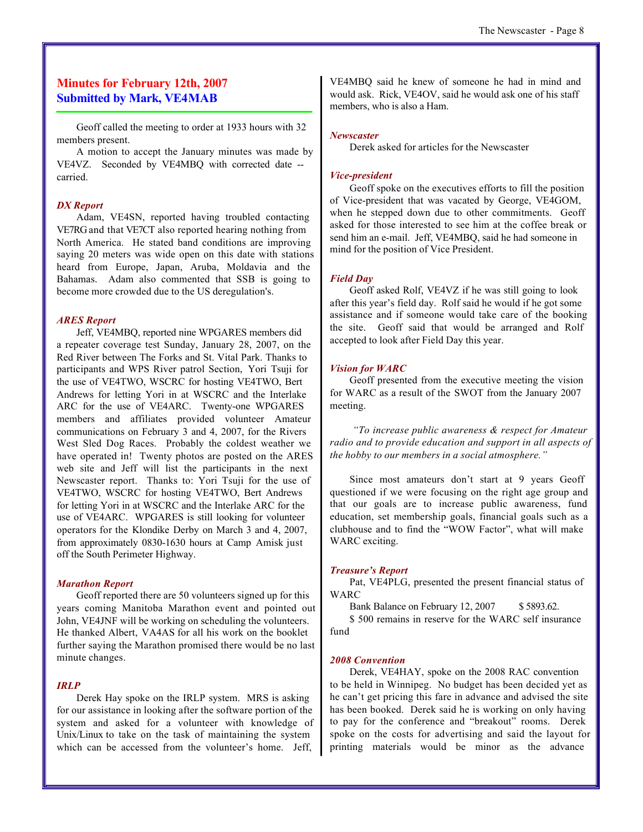#### **Minutes for February 12th, 2007 Submitted by Mark, VE4MAB**

Geoff called the meeting to order at 1933 hours with 32 members present.

A motion to accept the January minutes was made by VE4VZ. Seconded by VE4MBQ with corrected date - carried.

#### *DX Report*

Adam, VE4SN, reported having troubled contacting VE7RG and that VE7CT also reported hearing nothing from North America. He stated band conditions are improving saying 20 meters was wide open on this date with stations heard from Europe, Japan, Aruba, Moldavia and the Bahamas. Adam also commented that SSB is going to become more crowded due to the US deregulation's.

#### *ARES Report*

Jeff, VE4MBQ, reported nine WPGARES members did a repeater coverage test Sunday, January 28, 2007, on the Red River between The Forks and St. Vital Park. Thanks to participants and WPS River patrol Section, Yori Tsuji for the use of VE4TWO, WSCRC for hosting VE4TWO, Bert Andrews for letting Yori in at WSCRC and the Interlake ARC for the use of VE4ARC. Twenty-one WPGARES members and affiliates provided volunteer Amateur communications on February 3 and 4, 2007, for the Rivers West Sled Dog Races. Probably the coldest weather we have operated in! Twenty photos are posted on the ARES web site and Jeff will list the participants in the next Newscaster report. Thanks to: Yori Tsuji for the use of VE4TWO, WSCRC for hosting VE4TWO, Bert Andrews for letting Yori in at WSCRC and the Interlake ARC for the use of VE4ARC. WPGARES is still looking for volunteer operators for the Klondike Derby on March 3 and 4, 2007, from approximately 0830-1630 hours at Camp Amisk just off the South Perimeter Highway.

#### *Marathon Report*

Geoff reported there are 50 volunteers signed up for this years coming Manitoba Marathon event and pointed out John, VE4JNF will be working on scheduling the volunteers. He thanked Albert, VA4AS for all his work on the booklet further saying the Marathon promised there would be no last minute changes.

#### *IRLP*

Derek Hay spoke on the IRLP system. MRS is asking for our assistance in looking after the software portion of the system and asked for a volunteer with knowledge of Unix/Linux to take on the task of maintaining the system which can be accessed from the volunteer's home. Jeff,

VE4MBQ said he knew of someone he had in mind and would ask. Rick, VE4OV, said he would ask one of his staff members, who is also a Ham.

#### *Newscaster*

Derek asked for articles for the Newscaster

#### *Vice-president*

Geoff spoke on the executives efforts to fill the position of Vice-president that was vacated by George, VE4GOM, when he stepped down due to other commitments. Geoff asked for those interested to see him at the coffee break or send him an e-mail. Jeff, VE4MBQ, said he had someone in mind for the position of Vice President.

#### *Field Day*

Geoff asked Rolf, VE4VZ if he was still going to look after this year's field day. Rolf said he would if he got some assistance and if someone would take care of the booking the site. Geoff said that would be arranged and Rolf accepted to look after Field Day this year.

#### *Vision for WARC*

Geoff presented from the executive meeting the vision for WARC as a result of the SWOT from the January 2007 meeting.

 *"To increase public awareness & respect for Amateur radio and to provide education and support in all aspects of the hobby to our members in a social atmosphere."*

Since most amateurs don't start at 9 years Geoff questioned if we were focusing on the right age group and that our goals are to increase public awareness, fund education, set membership goals, financial goals such as a clubhouse and to find the "WOW Factor", what will make WARC exciting.

#### *Treasure's Report*

Pat, VE4PLG, presented the present financial status of WARC

Bank Balance on February 12, 2007 \$ 5893.62.

\$ 500 remains in reserve for the WARC self insurance fund

#### *2008 Convention*

Derek, VE4HAY, spoke on the 2008 RAC convention to be held in Winnipeg. No budget has been decided yet as he can't get pricing this fare in advance and advised the site has been booked. Derek said he is working on only having to pay for the conference and "breakout" rooms. Derek spoke on the costs for advertising and said the layout for printing materials would be minor as the advance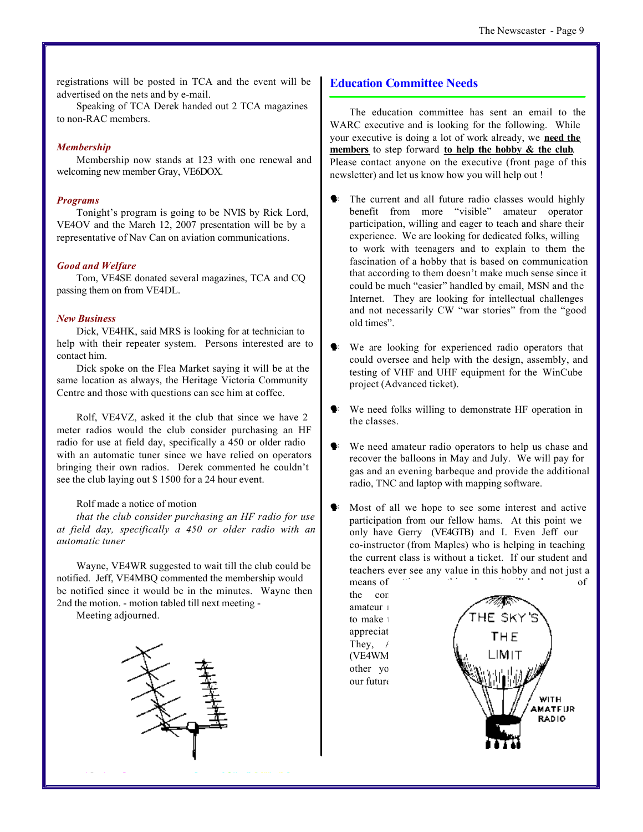registrations will be posted in TCA and the event will be advertised on the nets and by e-mail.

Speaking of TCA Derek handed out 2 TCA magazines to non-RAC members.

#### *Membership*

Membership now stands at 123 with one renewal and welcoming new member Gray, VE6DOX.

#### *Programs*

Tonight's program is going to be NVIS by Rick Lord, VE4OV and the March 12, 2007 presentation will be by a representative of Nav Can on aviation communications.

#### *Good and Welfare*

Tom, VE4SE donated several magazines, TCA and CQ passing them on from VE4DL.

#### *New Business*

Dick, VE4HK, said MRS is looking for at technician to help with their repeater system. Persons interested are to contact him.

Dick spoke on the Flea Market saying it will be at the same location as always, the Heritage Victoria Community Centre and those with questions can see him at coffee.

Rolf, VE4VZ, asked it the club that since we have 2 meter radios would the club consider purchasing an HF radio for use at field day, specifically a 450 or older radio with an automatic tuner since we have relied on operators bringing their own radios. Derek commented he couldn't see the club laying out \$ 1500 for a 24 hour event.

#### Rolf made a notice of motion

*that the club consider purchasing an HF radio for use at field day, specifically a 450 or older radio with an automatic tuner*

Wayne, VE4WR suggested to wait till the club could be notified. Jeff, VE4MBQ commented the membership would be notified since it would be in the minutes. Wayne then 2nd the motion. - motion tabled till next meeting -

Meeting adjourned.



#### **Education Committee Needs**

The education committee has sent an email to the WARC executive and is looking for the following. While your executive is doing a lot of work already, we **need the members** to step forward **to help the hobby & the club**. Please contact anyone on the executive (front page of this newsletter) and let us know how you will help out !

- The current and all future radio classes would highly benefit from more "visible" amateur operator participation, willing and eager to teach and share their experience. We are looking for dedicated folks, willing to work with teenagers and to explain to them the fascination of a hobby that is based on communication that according to them doesn't make much sense since it could be much "easier" handled by email, MSN and the Internet. They are looking for intellectual challenges and not necessarily CW "war stories" from the "good old times".
- We are looking for experienced radio operators that could oversee and help with the design, assembly, and testing of VHF and UHF equipment for the WinCube project (Advanced ticket).
- We need folks willing to demonstrate HF operation in the classes.
- We need amateur radio operators to help us chase and recover the balloons in May and July. We will pay for gas and an evening barbeque and provide the additional radio, TNC and laptop with mapping software.
- Most of all we hope to see some interest and active participation from our fellow hams. At this point we only have Gerry (VE4GTB) and I. Even Jeff our co-instructor (from Maples) who is helping in teaching the current class is without a ticket. If our student and teachers ever see any value in this hobby and not just a means of  $\frac{1}{2}$  something done, it will be because of

the commitment of  $\alpha$ amateur 1 to make the appreciat They,  $\ell$ (VE4WM) other yo our future